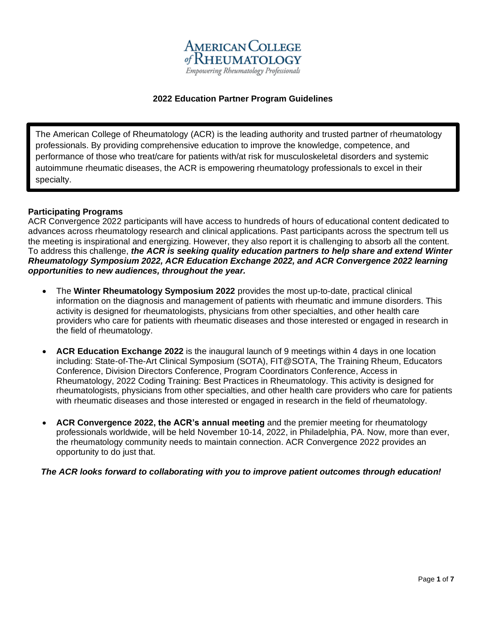

# **2022 Education Partner Program Guidelines**

The American College of Rheumatology (ACR) is the leading authority and trusted partner of rheumatology professionals. By providing comprehensive education to improve the knowledge, competence, and performance of those who treat/care for patients with/at risk for musculoskeletal disorders and systemic autoimmune rheumatic diseases, the ACR is empowering rheumatology professionals to excel in their specialty.

#### **Participating Programs**

ACR Convergence 2022 participants will have access to hundreds of hours of educational content dedicated to advances across rheumatology research and clinical applications. Past participants across the spectrum tell us the meeting is inspirational and energizing. However, they also report it is challenging to absorb all the content. To address this challenge, *the ACR is seeking quality education partners to help share and extend Winter Rheumatology Symposium 2022, ACR Education Exchange 2022, and ACR Convergence 2022 learning opportunities to new audiences, throughout the year.* 

- The **Winter Rheumatology Symposium 2022** provides the most up-to-date, practical clinical information on the diagnosis and management of patients with rheumatic and immune disorders. This activity is designed for rheumatologists, physicians from other specialties, and other health care providers who care for patients with rheumatic diseases and those interested or engaged in research in the field of rheumatology.
- **ACR Education Exchange 2022** is the inaugural launch of 9 meetings within 4 days in one location including: State-of-The-Art Clinical Symposium (SOTA), FIT@SOTA, The Training Rheum, Educators Conference, Division Directors Conference, Program Coordinators Conference, Access in Rheumatology, 2022 Coding Training: Best Practices in Rheumatology. This activity is designed for rheumatologists, physicians from other specialties, and other health care providers who care for patients with rheumatic diseases and those interested or engaged in research in the field of rheumatology.
- **ACR Convergence 2022, the ACR's annual meeting** and the premier meeting for rheumatology professionals worldwide, will be held November 10-14, 2022, in Philadelphia, PA. Now, more than ever, the rheumatology community needs to maintain connection. ACR Convergence 2022 provides an opportunity to do just that.

### *The ACR looks forward to collaborating with you to improve patient outcomes through education!*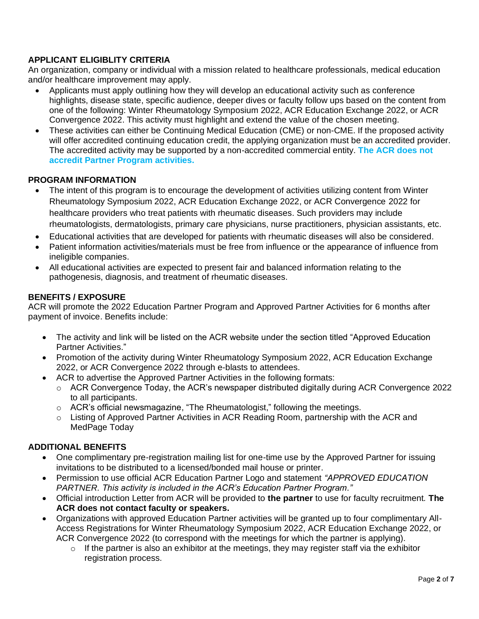# **APPLICANT ELIGIBLITY CRITERIA**

An organization, company or individual with a mission related to healthcare professionals, medical education and/or healthcare improvement may apply.

- Applicants must apply outlining how they will develop an educational activity such as conference highlights, disease state, specific audience, deeper dives or faculty follow ups based on the content from one of the following: Winter Rheumatology Symposium 2022, ACR Education Exchange 2022, or ACR Convergence 2022. This activity must highlight and extend the value of the chosen meeting.
- These activities can either be Continuing Medical Education (CME) or non-CME. If the proposed activity will offer accredited continuing education credit, the applying organization must be an accredited provider. The accredited activity may be supported by a non-accredited commercial entity. **The ACR does not accredit Partner Program activities.**

### **PROGRAM INFORMATION**

- The intent of this program is to encourage the development of activities utilizing content from Winter Rheumatology Symposium 2022, ACR Education Exchange 2022, or ACR Convergence 2022 for healthcare providers who treat patients with rheumatic diseases. Such providers may include rheumatologists, dermatologists, primary care physicians, nurse practitioners, physician assistants, etc.
- Educational activities that are developed for patients with rheumatic diseases will also be considered.
- Patient information activities/materials must be free from influence or the appearance of influence from ineligible companies.
- All educational activities are expected to present fair and balanced information relating to the pathogenesis, diagnosis, and treatment of rheumatic diseases.

### **BENEFITS / EXPOSURE**

ACR will promote the 2022 Education Partner Program and Approved Partner Activities for 6 months after payment of invoice. Benefits include:

- The activity and link will be listed on the ACR website under the section titled "Approved Education Partner Activities."
- Promotion of the activity during Winter Rheumatology Symposium 2022, ACR Education Exchange 2022, or ACR Convergence 2022 through e-blasts to attendees.
- ACR to advertise the Approved Partner Activities in the following formats:
	- $\circ$  ACR Convergence Today, the ACR's newspaper distributed digitally during ACR Convergence 2022 to all participants.
	- $\circ$  ACR's official newsmagazine, "The Rheumatologist," following the meetings.
	- $\circ$  Listing of Approved Partner Activities in ACR Reading Room, partnership with the ACR and MedPage Today

### **ADDITIONAL BENEFITS**

- One complimentary pre-registration mailing list for one-time use by the Approved Partner for issuing invitations to be distributed to a licensed/bonded mail house or printer.
- Permission to use official ACR Education Partner Logo and statement *"APPROVED EDUCATION PARTNER. This activity is included in the ACR's Education Partner Program."*
- Official introduction Letter from ACR will be provided to **the partner** to use for faculty recruitment*.* **The ACR does not contact faculty or speakers.**
- Organizations with approved Education Partner activities will be granted up to four complimentary All-Access Registrations for Winter Rheumatology Symposium 2022, ACR Education Exchange 2022, or ACR Convergence 2022 (to correspond with the meetings for which the partner is applying).
	- $\circ$  If the partner is also an exhibitor at the meetings, they may register staff via the exhibitor registration process.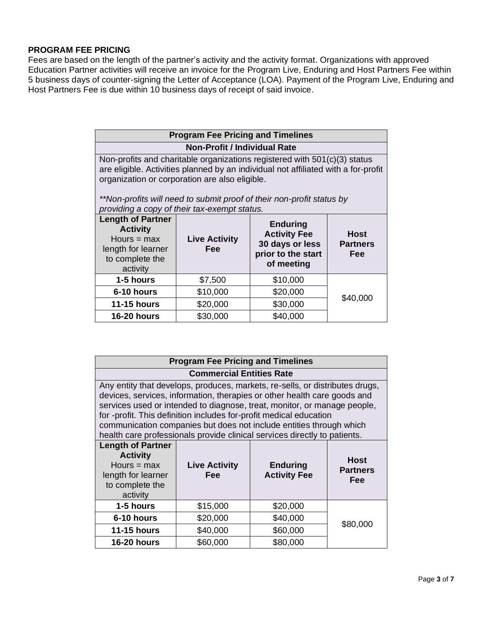### **PROGRAM FEE PRICING**

Fees are based on the length of the partner's activity and the activity format. Organizations with approved Education Partner activities will receive an invoice for the Program Live, Enduring and Host Partners Fee within 5 business days of counter-signing the Letter of Acceptance (LOA). Payment of the Program Live, Enduring and Host Partners Fee is due within 10 business days of receipt of said invoice.

| <b>Program Fee Pricing and Timelines</b>                                                                                                                                                                                                                                                                                                   |                                    |                                                                                               |                                |  |
|--------------------------------------------------------------------------------------------------------------------------------------------------------------------------------------------------------------------------------------------------------------------------------------------------------------------------------------------|------------------------------------|-----------------------------------------------------------------------------------------------|--------------------------------|--|
| <b>Non-Profit / Individual Rate</b>                                                                                                                                                                                                                                                                                                        |                                    |                                                                                               |                                |  |
| Non-profits and charitable organizations registered with 501(c)(3) status<br>are eligible. Activities planned by an individual not affiliated with a for-profit<br>organization or corporation are also eligible.<br>**Non-profits will need to submit proof of their non-profit status by<br>providing a copy of their tax-exempt status. |                                    |                                                                                               |                                |  |
| <b>Length of Partner</b><br><b>Activity</b><br>Hours = $max$<br>length for learner<br>to complete the<br>activity                                                                                                                                                                                                                          | <b>Live Activity</b><br><b>Fee</b> | <b>Enduring</b><br><b>Activity Fee</b><br>30 days or less<br>prior to the start<br>of meeting | Host<br><b>Partners</b><br>Fee |  |
| 1-5 hours                                                                                                                                                                                                                                                                                                                                  | \$7,500                            | \$10,000                                                                                      |                                |  |
| 6-10 hours                                                                                                                                                                                                                                                                                                                                 | \$10,000                           | \$20,000                                                                                      | \$40,000                       |  |
| <b>11-15 hours</b>                                                                                                                                                                                                                                                                                                                         | \$20,000                           | \$30,000                                                                                      |                                |  |
| <b>16-20 hours</b>                                                                                                                                                                                                                                                                                                                         | \$30,000                           | \$40,000                                                                                      |                                |  |

| <b>Program Fee Pricing and Timelines</b>                                                                                                                                                                                                                                                                                                                                                                                                                       |                                    |                                        |                                       |  |  |
|----------------------------------------------------------------------------------------------------------------------------------------------------------------------------------------------------------------------------------------------------------------------------------------------------------------------------------------------------------------------------------------------------------------------------------------------------------------|------------------------------------|----------------------------------------|---------------------------------------|--|--|
| <b>Commercial Entities Rate</b>                                                                                                                                                                                                                                                                                                                                                                                                                                |                                    |                                        |                                       |  |  |
| Any entity that develops, produces, markets, re-sells, or distributes drugs,<br>devices, services, information, therapies or other health care goods and<br>services used or intended to diagnose, treat, monitor, or manage people,<br>for -profit. This definition includes for-profit medical education<br>communication companies but does not include entities through which<br>health care professionals provide clinical services directly to patients. |                                    |                                        |                                       |  |  |
| <b>Length of Partner</b><br><b>Activity</b><br>Hours $=$ max<br>length for learner<br>to complete the<br>activity                                                                                                                                                                                                                                                                                                                                              | <b>Live Activity</b><br><b>Fee</b> | <b>Enduring</b><br><b>Activity Fee</b> | <b>Host</b><br><b>Partners</b><br>Fee |  |  |
| 1-5 hours                                                                                                                                                                                                                                                                                                                                                                                                                                                      | \$15,000                           | \$20,000                               |                                       |  |  |
| 6-10 hours                                                                                                                                                                                                                                                                                                                                                                                                                                                     | \$20,000                           | \$40,000                               | \$80,000                              |  |  |
| <b>11-15 hours</b>                                                                                                                                                                                                                                                                                                                                                                                                                                             | \$40,000                           | \$60,000                               |                                       |  |  |
| <b>16-20 hours</b>                                                                                                                                                                                                                                                                                                                                                                                                                                             | \$60,000                           | \$80,000                               |                                       |  |  |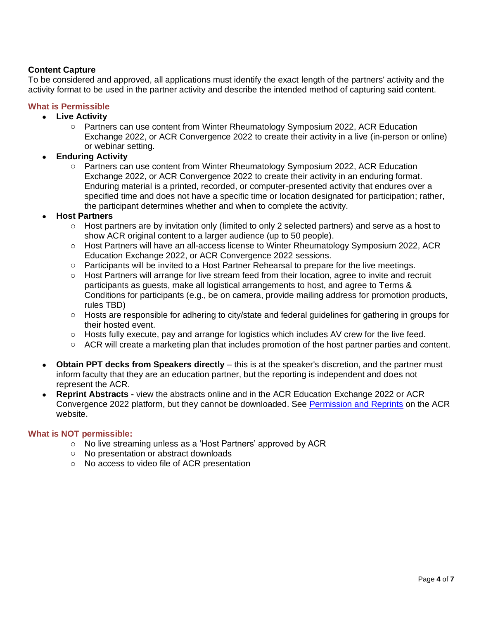# **Content Capture**

To be considered and approved, all applications must identify the exact length of the partners' activity and the activity format to be used in the partner activity and describe the intended method of capturing said content.

# **What is Permissible**

- **Live Activity** 
	- o Partners can use content from Winter Rheumatology Symposium 2022, ACR Education Exchange 2022, or ACR Convergence 2022 to create their activity in a live (in-person or online) or webinar setting.
- **Enduring Activity**
	- o Partners can use content from Winter Rheumatology Symposium 2022, ACR Education Exchange 2022, or ACR Convergence 2022 to create their activity in an enduring format. Enduring material is a printed, recorded, or computer-presented activity that endures over a specified time and does not have a specific time or location designated for participation; rather, the participant determines whether and when to complete the activity.

#### • **Host Partners**

- $\circ$  Host partners are by invitation only (limited to only 2 selected partners) and serve as a host to show ACR original content to a larger audience (up to 50 people).
- o Host Partners will have an all-access license to Winter Rheumatology Symposium 2022, ACR Education Exchange 2022, or ACR Convergence 2022 sessions.
- o Participants will be invited to a Host Partner Rehearsal to prepare for the live meetings.
- o Host Partners will arrange for live stream feed from their location, agree to invite and recruit participants as guests, make all logistical arrangements to host, and agree to Terms & Conditions for participants (e.g., be on camera, provide mailing address for promotion products, rules TBD)
- o Hosts are responsible for adhering to city/state and federal guidelines for gathering in groups for their hosted event.
- o Hosts fully execute, pay and arrange for logistics which includes AV crew for the live feed.
- $\circ$  ACR will create a marketing plan that includes promotion of the host partner parties and content.
- **Obtain PPT decks from Speakers directly** this is at the speaker's discretion, and the partner must inform faculty that they are an education partner, but the reporting is independent and does not represent the ACR.
- **Reprint Abstracts -** view the abstracts online and in the ACR Education Exchange 2022 or ACR Convergence 2022 platform, but they cannot be downloaded. See [Permission and Reprints](https://www.rheumatology.org/Annual-Meeting/Abstracts/Permissions-and-Reprints) on the ACR website.

#### **What is NOT permissible:**

- o No live streaming unless as a 'Host Partners' approved by ACR
- o No presentation or abstract downloads
- o No access to video file of ACR presentation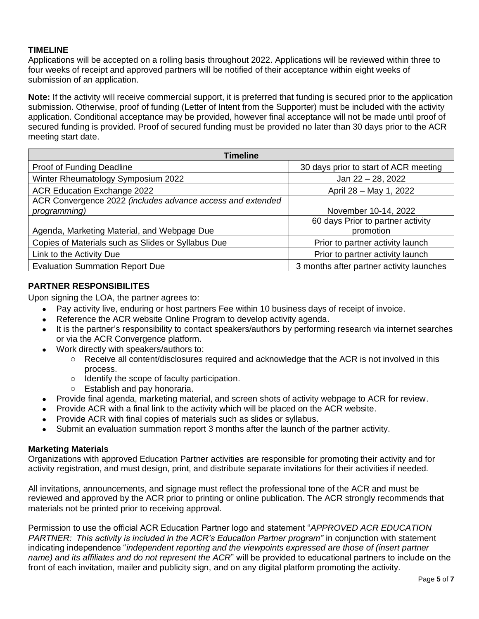### **TIMELINE**

Applications will be accepted on a rolling basis throughout 2022. Applications will be reviewed within three to four weeks of receipt and approved partners will be notified of their acceptance within eight weeks of submission of an application.

**Note:** If the activity will receive commercial support, it is preferred that funding is secured prior to the application submission. Otherwise, proof of funding (Letter of Intent from the Supporter) must be included with the activity application. Conditional acceptance may be provided, however final acceptance will not be made until proof of secured funding is provided. Proof of secured funding must be provided no later than 30 days prior to the ACR meeting start date.

| <b>Timeline</b>                                            |                                          |  |  |  |
|------------------------------------------------------------|------------------------------------------|--|--|--|
| Proof of Funding Deadline                                  | 30 days prior to start of ACR meeting    |  |  |  |
| Winter Rheumatology Symposium 2022                         | Jan 22 - 28, 2022                        |  |  |  |
| ACR Education Exchange 2022                                | April 28 - May 1, 2022                   |  |  |  |
| ACR Convergence 2022 (includes advance access and extended |                                          |  |  |  |
| programming)                                               | November 10-14, 2022                     |  |  |  |
|                                                            | 60 days Prior to partner activity        |  |  |  |
| Agenda, Marketing Material, and Webpage Due                | promotion                                |  |  |  |
| Copies of Materials such as Slides or Syllabus Due         | Prior to partner activity launch         |  |  |  |
| Link to the Activity Due                                   | Prior to partner activity launch         |  |  |  |
| <b>Evaluation Summation Report Due</b>                     | 3 months after partner activity launches |  |  |  |

# **PARTNER RESPONSIBILITES**

Upon signing the LOA, the partner agrees to:

- Pay activity live, enduring or host partners Fee within 10 business days of receipt of invoice.
- Reference the ACR website Online Program to develop activity agenda.
- It is the partner's responsibility to contact speakers/authors by performing research via internet searches or via the ACR Convergence platform.
- Work directly with speakers/authors to:
	- $\circ$  Receive all content/disclosures required and acknowledge that the ACR is not involved in this process.
	- o Identify the scope of faculty participation.
	- o Establish and pay honoraria.
- Provide final agenda, marketing material, and screen shots of activity webpage to ACR for review.
- Provide ACR with a final link to the activity which will be placed on the ACR website.
- Provide ACR with final copies of materials such as slides or syllabus.
- Submit an evaluation summation report 3 months after the launch of the partner activity.

#### **Marketing Materials**

Organizations with approved Education Partner activities are responsible for promoting their activity and for activity registration, and must design, print, and distribute separate invitations for their activities if needed.

All invitations, announcements, and signage must reflect the professional tone of the ACR and must be reviewed and approved by the ACR prior to printing or online publication. The ACR strongly recommends that materials not be printed prior to receiving approval.

Permission to use the official ACR Education Partner logo and statement "*APPROVED ACR EDUCATION PARTNER: This activity is included in the ACR's Education Partner program"* in conjunction with statement indicating independence "*independent reporting and the viewpoints expressed are those of (insert partner name) and its affiliates and do not represent the ACR*" will be provided to educational partners to include on the front of each invitation, mailer and publicity sign, and on any digital platform promoting the activity.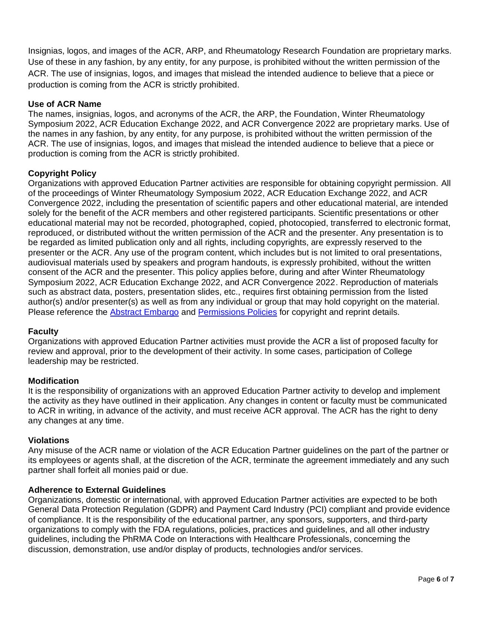Insignias, logos, and images of the ACR, ARP, and Rheumatology Research Foundation are proprietary marks. Use of these in any fashion, by any entity, for any purpose, is prohibited without the written permission of the ACR. The use of insignias, logos, and images that mislead the intended audience to believe that a piece or production is coming from the ACR is strictly prohibited.

# **Use of ACR Name**

The names, insignias, logos, and acronyms of the ACR, the ARP, the Foundation, Winter Rheumatology Symposium 2022, ACR Education Exchange 2022, and ACR Convergence 2022 are proprietary marks. Use of the names in any fashion, by any entity, for any purpose, is prohibited without the written permission of the ACR. The use of insignias, logos, and images that mislead the intended audience to believe that a piece or production is coming from the ACR is strictly prohibited.

# **Copyright Policy**

Organizations with approved Education Partner activities are responsible for obtaining copyright permission. All of the proceedings of Winter Rheumatology Symposium 2022, ACR Education Exchange 2022, and ACR Convergence 2022, including the presentation of scientific papers and other educational material, are intended solely for the benefit of the ACR members and other registered participants. Scientific presentations or other educational material may not be recorded, photographed, copied, photocopied, transferred to electronic format, reproduced, or distributed without the written permission of the ACR and the presenter. Any presentation is to be regarded as limited publication only and all rights, including copyrights, are expressly reserved to the presenter or the ACR. Any use of the program content, which includes but is not limited to oral presentations, audiovisual materials used by speakers and program handouts, is expressly prohibited, without the written consent of the ACR and the presenter. This policy applies before, during and after Winter Rheumatology Symposium 2022, ACR Education Exchange 2022, and ACR Convergence 2022. Reproduction of materials such as abstract data, posters, presentation slides, etc., requires first obtaining permission from the listed author(s) and/or presenter(s) as well as from any individual or group that may hold copyright on the material. Please reference the Abstract [Embargo](https://www.rheumatology.org/Annual-Meeting/Abstracts/Embargo-Policies) and [Permissions](https://www.rheumatology.org/Annual-Meeting/Abstracts/Permissions-and-Reprints) Policies for copyright and reprint details.

### **Faculty**

Organizations with approved Education Partner activities must provide the ACR a list of proposed faculty for review and approval, prior to the development of their activity. In some cases, participation of College leadership may be restricted.

### **Modification**

It is the responsibility of organizations with an approved Education Partner activity to develop and implement the activity as they have outlined in their application. Any changes in content or faculty must be communicated to ACR in writing, in advance of the activity, and must receive ACR approval. The ACR has the right to deny any changes at any time.

### **Violations**

Any misuse of the ACR name or violation of the ACR Education Partner guidelines on the part of the partner or its employees or agents shall, at the discretion of the ACR, terminate the agreement immediately and any such partner shall forfeit all monies paid or due.

### **Adherence to External Guidelines**

Organizations, domestic or international, with approved Education Partner activities are expected to be both General Data Protection Regulation (GDPR) and Payment Card Industry (PCI) compliant and provide evidence of compliance. It is the responsibility of the educational partner, any sponsors, supporters, and third-party organizations to comply with the FDA regulations, policies, practices and guidelines, and all other industry guidelines, including the PhRMA Code on Interactions with Healthcare Professionals, concerning the discussion, demonstration, use and/or display of products, technologies and/or services.